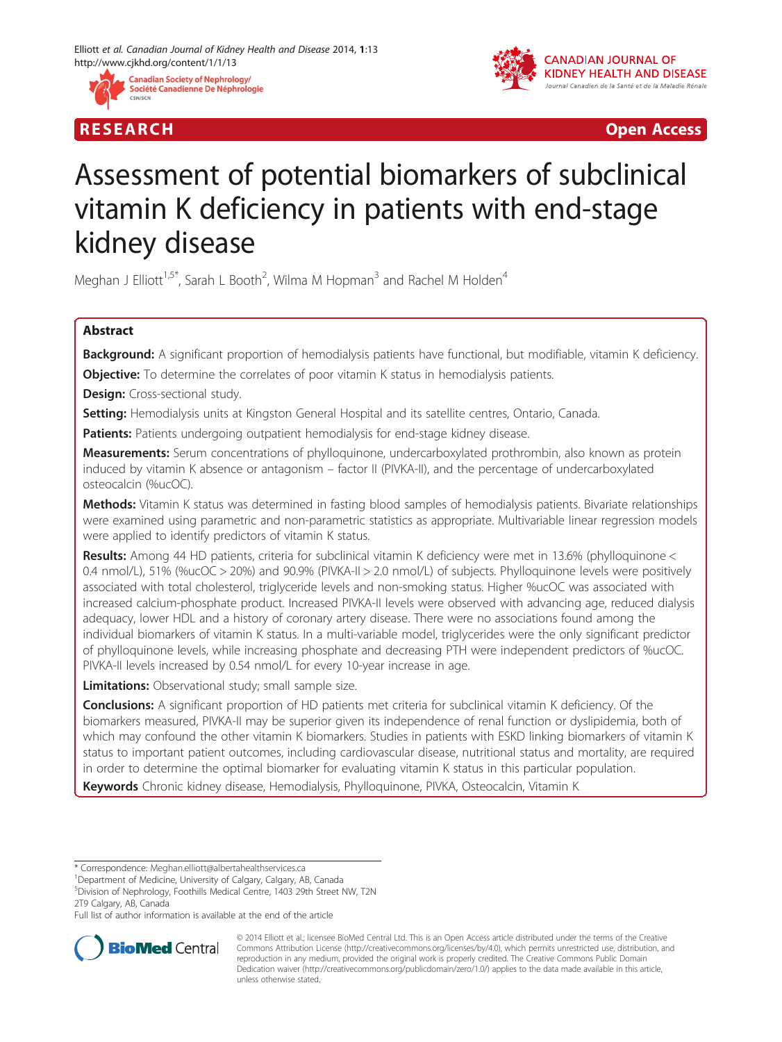



R E S EAR CH Open Access

# Assessment of potential biomarkers of subclinical vitamin K deficiency in patients with end-stage kidney disease

Meghan J Elliott<sup>1,5\*</sup>, Sarah L Booth<sup>2</sup>, Wilma M Hopman<sup>3</sup> and Rachel M Holden<sup>4</sup>

## Abstract

Background: A significant proportion of hemodialysis patients have functional, but modifiable, vitamin K deficiency. **Objective:** To determine the correlates of poor vitamin K status in hemodialysis patients.

**Design:** Cross-sectional study.

Setting: Hemodialysis units at Kingston General Hospital and its satellite centres, Ontario, Canada.

Patients: Patients undergoing outpatient hemodialysis for end-stage kidney disease.

Measurements: Serum concentrations of phylloquinone, undercarboxylated prothrombin, also known as protein induced by vitamin K absence or antagonism – factor II (PIVKA-II), and the percentage of undercarboxylated osteocalcin (%ucOC).

Methods: Vitamin K status was determined in fasting blood samples of hemodialysis patients. Bivariate relationships were examined using parametric and non-parametric statistics as appropriate. Multivariable linear regression models were applied to identify predictors of vitamin K status.

Results: Among 44 HD patients, criteria for subclinical vitamin K deficiency were met in 13.6% (phylloquinone < 0.4 nmol/L), 51% (%ucOC > 20%) and 90.9% (PIVKA-II > 2.0 nmol/L) of subjects. Phylloquinone levels were positively associated with total cholesterol, triglyceride levels and non-smoking status. Higher %ucOC was associated with increased calcium-phosphate product. Increased PIVKA-II levels were observed with advancing age, reduced dialysis adequacy, lower HDL and a history of coronary artery disease. There were no associations found among the individual biomarkers of vitamin K status. In a multi-variable model, triglycerides were the only significant predictor of phylloquinone levels, while increasing phosphate and decreasing PTH were independent predictors of %ucOC. PIVKA-II levels increased by 0.54 nmol/L for every 10-year increase in age.

Limitations: Observational study; small sample size.

Conclusions: A significant proportion of HD patients met criteria for subclinical vitamin K deficiency. Of the biomarkers measured, PIVKA-II may be superior given its independence of renal function or dyslipidemia, both of which may confound the other vitamin K biomarkers. Studies in patients with ESKD linking biomarkers of vitamin K status to important patient outcomes, including cardiovascular disease, nutritional status and mortality, are required in order to determine the optimal biomarker for evaluating vitamin K status in this particular population.

Keywords Chronic kidney disease, Hemodialysis, Phylloquinone, PIVKA, Osteocalcin, Vitamin K

\* Correspondence: [Meghan.elliott@albertahealthservices.ca](mailto:Meghan.elliott@albertahealthservices.ca) <sup>1</sup>

<sup>1</sup>Department of Medicine, University of Calgary, Calgary, AB, Canada

5 Division of Nephrology, Foothills Medical Centre, 1403 29th Street NW, T2N 2T9 Calgary, AB, Canada

Full list of author information is available at the end of the article



© 2014 Elliott et al.; licensee BioMed Central Ltd. This is an Open Access article distributed under the terms of the Creative Commons Attribution License [\(http://creativecommons.org/licenses/by/4.0\)](http://creativecommons.org/licenses/by/4.0), which permits unrestricted use, distribution, and reproduction in any medium, provided the original work is properly credited. The Creative Commons Public Domain Dedication waiver [\(http://creativecommons.org/publicdomain/zero/1.0/](http://creativecommons.org/publicdomain/zero/1.0/)) applies to the data made available in this article, unless otherwise stated.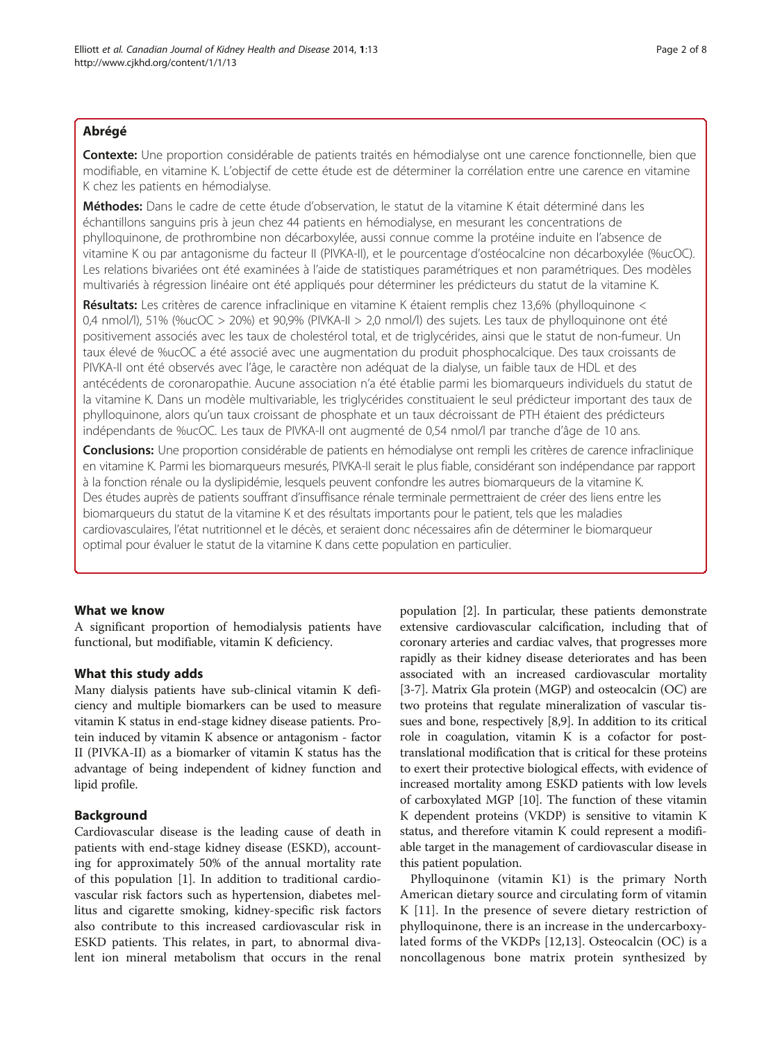## Abrégé

Contexte: Une proportion considérable de patients traités en hémodialyse ont une carence fonctionnelle, bien que modifiable, en vitamine K. L'objectif de cette étude est de déterminer la corrélation entre une carence en vitamine K chez les patients en hémodialyse.

Méthodes: Dans le cadre de cette étude d'observation, le statut de la vitamine K était déterminé dans les échantillons sanguins pris à jeun chez 44 patients en hémodialyse, en mesurant les concentrations de phylloquinone, de prothrombine non décarboxylée, aussi connue comme la protéine induite en l'absence de vitamine K ou par antagonisme du facteur II (PIVKA-II), et le pourcentage d'ostéocalcine non décarboxylée (%ucOC). Les relations bivariées ont été examinées à l'aide de statistiques paramétriques et non paramétriques. Des modèles multivariés à régression linéaire ont été appliqués pour déterminer les prédicteurs du statut de la vitamine K.

Résultats: Les critères de carence infraclinique en vitamine K étaient remplis chez 13,6% (phylloquinone < 0,4 nmol/l), 51% (%ucOC > 20%) et 90,9% (PIVKA-II > 2,0 nmol/l) des sujets. Les taux de phylloquinone ont été positivement associés avec les taux de cholestérol total, et de triglycérides, ainsi que le statut de non-fumeur. Un taux élevé de %ucOC a été associé avec une augmentation du produit phosphocalcique. Des taux croissants de PIVKA-II ont été observés avec l'âge, le caractère non adéquat de la dialyse, un faible taux de HDL et des antécédents de coronaropathie. Aucune association n'a été établie parmi les biomarqueurs individuels du statut de la vitamine K. Dans un modèle multivariable, les triglycérides constituaient le seul prédicteur important des taux de phylloquinone, alors qu'un taux croissant de phosphate et un taux décroissant de PTH étaient des prédicteurs indépendants de %ucOC. Les taux de PIVKA-II ont augmenté de 0,54 nmol/l par tranche d'âge de 10 ans.

Conclusions: Une proportion considérable de patients en hémodialyse ont rempli les critères de carence infraclinique en vitamine K. Parmi les biomarqueurs mesurés, PIVKA-II serait le plus fiable, considérant son indépendance par rapport à la fonction rénale ou la dyslipidémie, lesquels peuvent confondre les autres biomarqueurs de la vitamine K. Des études auprès de patients souffrant d'insuffisance rénale terminale permettraient de créer des liens entre les biomarqueurs du statut de la vitamine K et des résultats importants pour le patient, tels que les maladies cardiovasculaires, l'état nutritionnel et le décès, et seraient donc nécessaires afin de déterminer le biomarqueur optimal pour évaluer le statut de la vitamine K dans cette population en particulier.

## What we know

A significant proportion of hemodialysis patients have functional, but modifiable, vitamin K deficiency.

## What this study adds

Many dialysis patients have sub-clinical vitamin K deficiency and multiple biomarkers can be used to measure vitamin K status in end-stage kidney disease patients. Protein induced by vitamin K absence or antagonism - factor II (PIVKA-II) as a biomarker of vitamin K status has the advantage of being independent of kidney function and lipid profile.

## Background

Cardiovascular disease is the leading cause of death in patients with end-stage kidney disease (ESKD), accounting for approximately 50% of the annual mortality rate of this population [[1\]](#page-7-0). In addition to traditional cardiovascular risk factors such as hypertension, diabetes mellitus and cigarette smoking, kidney-specific risk factors also contribute to this increased cardiovascular risk in ESKD patients. This relates, in part, to abnormal divalent ion mineral metabolism that occurs in the renal

population [[2](#page-7-0)]. In particular, these patients demonstrate extensive cardiovascular calcification, including that of coronary arteries and cardiac valves, that progresses more rapidly as their kidney disease deteriorates and has been associated with an increased cardiovascular mortality [[3-7](#page-7-0)]. Matrix Gla protein (MGP) and osteocalcin (OC) are two proteins that regulate mineralization of vascular tissues and bone, respectively [\[8,9\]](#page-7-0). In addition to its critical role in coagulation, vitamin K is a cofactor for posttranslational modification that is critical for these proteins to exert their protective biological effects, with evidence of increased mortality among ESKD patients with low levels of carboxylated MGP [\[10\]](#page-7-0). The function of these vitamin K dependent proteins (VKDP) is sensitive to vitamin K status, and therefore vitamin K could represent a modifiable target in the management of cardiovascular disease in this patient population.

Phylloquinone (vitamin K1) is the primary North American dietary source and circulating form of vitamin K [[11\]](#page-7-0). In the presence of severe dietary restriction of phylloquinone, there is an increase in the undercarboxylated forms of the VKDPs [[12,13](#page-7-0)]. Osteocalcin (OC) is a noncollagenous bone matrix protein synthesized by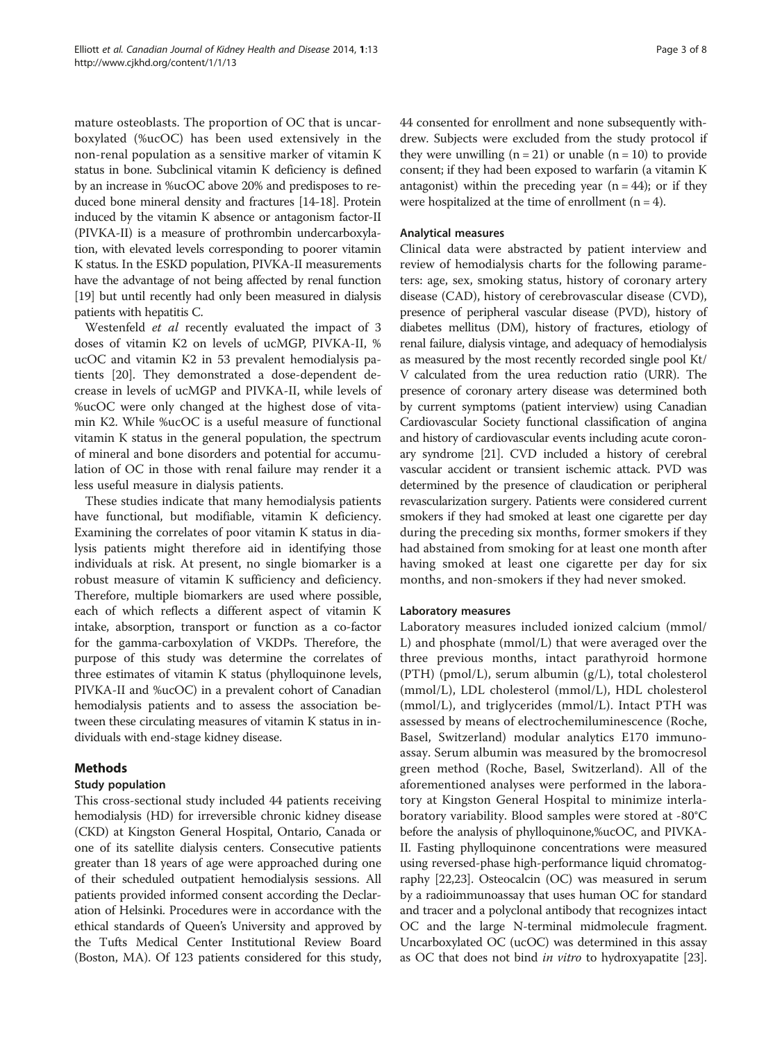mature osteoblasts. The proportion of OC that is uncarboxylated (%ucOC) has been used extensively in the non-renal population as a sensitive marker of vitamin K status in bone. Subclinical vitamin K deficiency is defined by an increase in %ucOC above 20% and predisposes to reduced bone mineral density and fractures [[14](#page-7-0)-[18](#page-7-0)]. Protein induced by the vitamin K absence or antagonism factor-II (PIVKA-II) is a measure of prothrombin undercarboxylation, with elevated levels corresponding to poorer vitamin K status. In the ESKD population, PIVKA-II measurements have the advantage of not being affected by renal function [[19](#page-7-0)] but until recently had only been measured in dialysis patients with hepatitis C.

Westenfeld *et al* recently evaluated the impact of 3 doses of vitamin K2 on levels of ucMGP, PIVKA-II, % ucOC and vitamin K2 in 53 prevalent hemodialysis patients [\[20\]](#page-7-0). They demonstrated a dose-dependent decrease in levels of ucMGP and PIVKA-II, while levels of %ucOC were only changed at the highest dose of vitamin K2. While %ucOC is a useful measure of functional vitamin K status in the general population, the spectrum of mineral and bone disorders and potential for accumulation of OC in those with renal failure may render it a less useful measure in dialysis patients.

These studies indicate that many hemodialysis patients have functional, but modifiable, vitamin K deficiency. Examining the correlates of poor vitamin K status in dialysis patients might therefore aid in identifying those individuals at risk. At present, no single biomarker is a robust measure of vitamin K sufficiency and deficiency. Therefore, multiple biomarkers are used where possible, each of which reflects a different aspect of vitamin K intake, absorption, transport or function as a co-factor for the gamma-carboxylation of VKDPs. Therefore, the purpose of this study was determine the correlates of three estimates of vitamin K status (phylloquinone levels, PIVKA-II and %ucOC) in a prevalent cohort of Canadian hemodialysis patients and to assess the association between these circulating measures of vitamin K status in individuals with end-stage kidney disease.

## Methods

## Study population

This cross-sectional study included 44 patients receiving hemodialysis (HD) for irreversible chronic kidney disease (CKD) at Kingston General Hospital, Ontario, Canada or one of its satellite dialysis centers. Consecutive patients greater than 18 years of age were approached during one of their scheduled outpatient hemodialysis sessions. All patients provided informed consent according the Declaration of Helsinki. Procedures were in accordance with the ethical standards of Queen's University and approved by the Tufts Medical Center Institutional Review Board (Boston, MA). Of 123 patients considered for this study, 44 consented for enrollment and none subsequently withdrew. Subjects were excluded from the study protocol if they were unwilling  $(n = 21)$  or unable  $(n = 10)$  to provide consent; if they had been exposed to warfarin (a vitamin K antagonist) within the preceding year  $(n = 44)$ ; or if they were hospitalized at the time of enrollment  $(n = 4)$ .

### Analytical measures

Clinical data were abstracted by patient interview and review of hemodialysis charts for the following parameters: age, sex, smoking status, history of coronary artery disease (CAD), history of cerebrovascular disease (CVD), presence of peripheral vascular disease (PVD), history of diabetes mellitus (DM), history of fractures, etiology of renal failure, dialysis vintage, and adequacy of hemodialysis as measured by the most recently recorded single pool Kt/ V calculated from the urea reduction ratio (URR). The presence of coronary artery disease was determined both by current symptoms (patient interview) using Canadian Cardiovascular Society functional classification of angina and history of cardiovascular events including acute coronary syndrome [\[21](#page-7-0)]. CVD included a history of cerebral vascular accident or transient ischemic attack. PVD was determined by the presence of claudication or peripheral revascularization surgery. Patients were considered current smokers if they had smoked at least one cigarette per day during the preceding six months, former smokers if they had abstained from smoking for at least one month after having smoked at least one cigarette per day for six months, and non-smokers if they had never smoked.

## Laboratory measures

Laboratory measures included ionized calcium (mmol/ L) and phosphate (mmol/L) that were averaged over the three previous months, intact parathyroid hormone (PTH) (pmol/L), serum albumin (g/L), total cholesterol (mmol/L), LDL cholesterol (mmol/L), HDL cholesterol (mmol/L), and triglycerides (mmol/L). Intact PTH was assessed by means of electrochemiluminescence (Roche, Basel, Switzerland) modular analytics E170 immunoassay. Serum albumin was measured by the bromocresol green method (Roche, Basel, Switzerland). All of the aforementioned analyses were performed in the laboratory at Kingston General Hospital to minimize interlaboratory variability. Blood samples were stored at -80°C before the analysis of phylloquinone,%ucOC, and PIVKA-II. Fasting phylloquinone concentrations were measured using reversed-phase high-performance liquid chromatography [\[22,23\]](#page-7-0). Osteocalcin (OC) was measured in serum by a radioimmunoassay that uses human OC for standard and tracer and a polyclonal antibody that recognizes intact OC and the large N-terminal midmolecule fragment. Uncarboxylated OC (ucOC) was determined in this assay as OC that does not bind *in vitro* to hydroxyapatite [[23](#page-7-0)].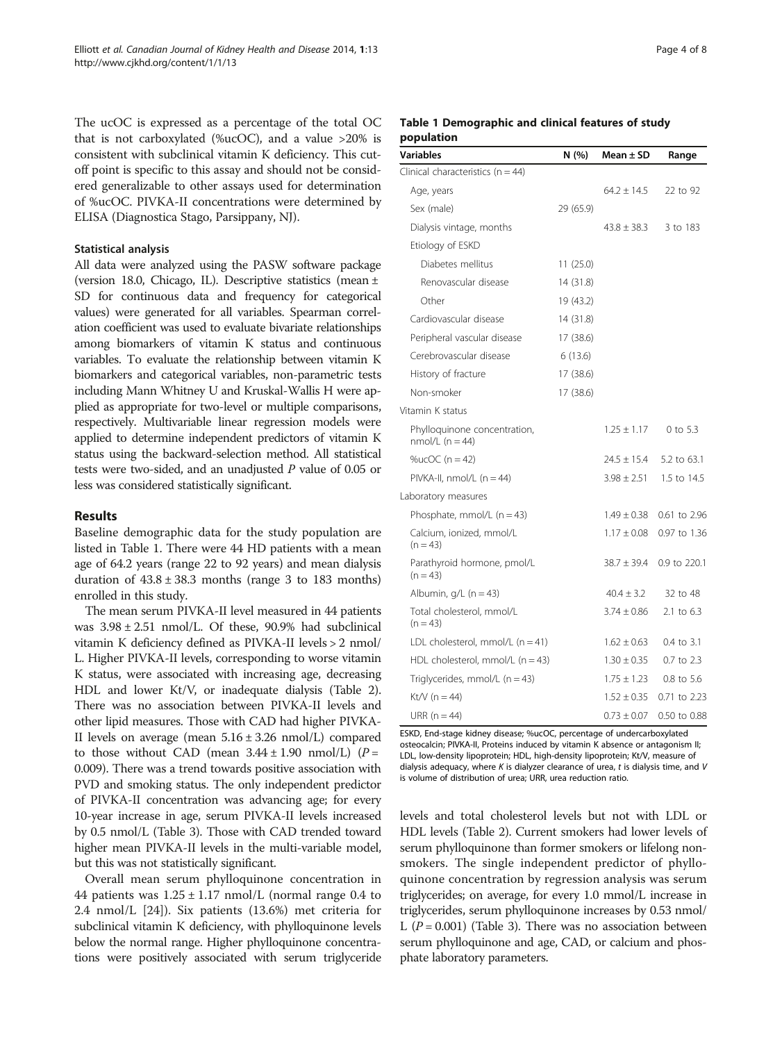The ucOC is expressed as a percentage of the total OC that is not carboxylated (%ucOC), and a value  $>20\%$  is consistent with subclinical vitamin K deficiency. This cutoff point is specific to this assay and should not be considered generalizable to other assays used for determination of %ucOC. PIVKA-II concentrations were determined by ELISA (Diagnostica Stago, Parsippany, NJ).

#### Statistical analysis

All data were analyzed using the PASW software package (version 18.0, Chicago, IL). Descriptive statistics (mean ± SD for continuous data and frequency for categorical values) were generated for all variables. Spearman correlation coefficient was used to evaluate bivariate relationships among biomarkers of vitamin K status and continuous variables. To evaluate the relationship between vitamin K biomarkers and categorical variables, non-parametric tests including Mann Whitney U and Kruskal-Wallis H were applied as appropriate for two-level or multiple comparisons, respectively. Multivariable linear regression models were applied to determine independent predictors of vitamin K status using the backward-selection method. All statistical tests were two-sided, and an unadjusted P value of 0.05 or less was considered statistically significant.

#### Results

Baseline demographic data for the study population are listed in Table 1. There were 44 HD patients with a mean age of 64.2 years (range 22 to 92 years) and mean dialysis duration of  $43.8 \pm 38.3$  months (range 3 to 183 months) enrolled in this study.

The mean serum PIVKA-II level measured in 44 patients was  $3.98 \pm 2.51$  nmol/L. Of these, 90.9% had subclinical vitamin K deficiency defined as PIVKA-II levels > 2 nmol/ L. Higher PIVKA-II levels, corresponding to worse vitamin K status, were associated with increasing age, decreasing HDL and lower Kt/V, or inadequate dialysis (Table [2](#page-4-0)). There was no association between PIVKA-II levels and other lipid measures. Those with CAD had higher PIVKA-II levels on average (mean  $5.16 \pm 3.26$  nmol/L) compared to those without CAD (mean  $3.44 \pm 1.90$  nmol/L) ( $P =$ 0.009). There was a trend towards positive association with PVD and smoking status. The only independent predictor of PIVKA-II concentration was advancing age; for every 10-year increase in age, serum PIVKA-II levels increased by 0.5 nmol/L (Table [3](#page-5-0)). Those with CAD trended toward higher mean PIVKA-II levels in the multi-variable model, but this was not statistically significant.

Overall mean serum phylloquinone concentration in 44 patients was  $1.25 \pm 1.17$  nmol/L (normal range 0.4 to 2.4 nmol/L [[24\]](#page-7-0)). Six patients (13.6%) met criteria for subclinical vitamin K deficiency, with phylloquinone levels below the normal range. Higher phylloquinone concentrations were positively associated with serum triglyceride

#### Table 1 Demographic and clinical features of study population

| <b>Variables</b>                                      | N (%)     | Mean $\pm$ SD   | Range                 |
|-------------------------------------------------------|-----------|-----------------|-----------------------|
| Clinical characteristics $(n = 44)$                   |           |                 |                       |
| Age, years                                            |           | $64.2 \pm 14.5$ | 22 to 92              |
| Sex (male)                                            | 29 (65.9) |                 |                       |
| Dialysis vintage, months                              |           | $43.8 \pm 38.3$ | 3 to 183              |
| Etiology of ESKD                                      |           |                 |                       |
| Diabetes mellitus                                     | 11(25.0)  |                 |                       |
| Renovascular disease                                  | 14 (31.8) |                 |                       |
| Other                                                 | 19 (43.2) |                 |                       |
| Cardiovascular disease                                | 14 (31.8) |                 |                       |
| Peripheral vascular disease                           | 17 (38.6) |                 |                       |
| Cerebrovascular disease                               | 6(13.6)   |                 |                       |
| History of fracture                                   | 17 (38.6) |                 |                       |
| Non-smoker                                            | 17 (38.6) |                 |                       |
| Vitamin K status                                      |           |                 |                       |
| Phylloquinone concentration,<br>$nmol/L$ ( $n = 44$ ) |           | $1.25 \pm 1.17$ | 0 to 5.3              |
| %ucOC $(n = 42)$                                      |           | $24.5 \pm 15.4$ | 5.2 to 63.1           |
| PIVKA-II, $nmol/L$ ( $n = 44$ )                       |           | $3.98 \pm 2.51$ | 1.5 to 14.5           |
| Laboratory measures                                   |           |                 |                       |
| Phosphate, mmol/L $(n = 43)$                          |           | $1.49 \pm 0.38$ | 0.61 to 2.96          |
| Calcium, ionized, mmol/L<br>$(n = 43)$                |           | $1.17 \pm 0.08$ | 0.97 to 1.36          |
| Parathyroid hormone, pmol/L<br>$(n = 43)$             |           | $38.7 \pm 39.4$ | 0.9 to 220.1          |
| Albumin, $q/L$ (n = 43)                               |           | $40.4 \pm 3.2$  | 32 to 48              |
| Total cholesterol, mmol/L<br>$(n = 43)$               |           | $3.74 \pm 0.86$ | 2.1 to 6.3            |
| LDL cholesterol, mmol/L $(n = 41)$                    |           | $1.62 \pm 0.63$ | 0.4 to 3.1            |
| HDL cholesterol, mmol/L $(n = 43)$                    |           | $1.30 \pm 0.35$ | 0.7 to 2.3            |
| Triglycerides, mmol/L $(n = 43)$                      |           | $1.75 \pm 1.23$ | $0.8 \text{ to } 5.6$ |
| Kt/V ( $n = 44$ )                                     |           | $1.52 \pm 0.35$ | 0.71 to 2.23          |
| URR $(n = 44)$                                        |           | $0.73 \pm 0.07$ | 0.50 to 0.88          |

ESKD, End-stage kidney disease; %ucOC, percentage of undercarboxylated osteocalcin; PIVKA-II, Proteins induced by vitamin K absence or antagonism II; LDL, low-density lipoprotein; HDL, high-density lipoprotein; Kt/V, measure of dialysis adequacy, where  $K$  is dialyzer clearance of urea,  $t$  is dialysis time, and  $V$ is volume of distribution of urea; URR, urea reduction ratio.

levels and total cholesterol levels but not with LDL or HDL levels (Table [2\)](#page-4-0). Current smokers had lower levels of serum phylloquinone than former smokers or lifelong nonsmokers. The single independent predictor of phylloquinone concentration by regression analysis was serum triglycerides; on average, for every 1.0 mmol/L increase in triglycerides, serum phylloquinone increases by 0.53 nmol/ L ( $P = 0.001$ ) (Table [3\)](#page-5-0). There was no association between serum phylloquinone and age, CAD, or calcium and phosphate laboratory parameters.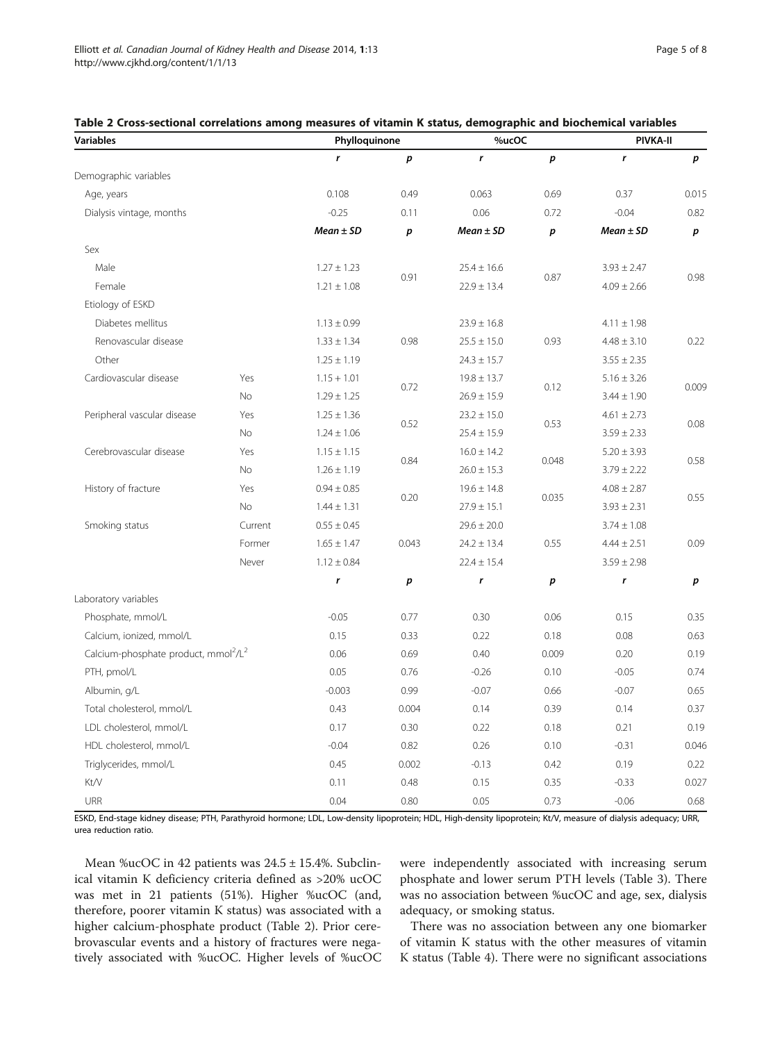| Variables                                                    |           | Phylloquinone   |                  | %ucOC           |                  | PIVKA-II        |                  |
|--------------------------------------------------------------|-----------|-----------------|------------------|-----------------|------------------|-----------------|------------------|
|                                                              |           | r               | p                | $\pmb{r}$       | $\boldsymbol{p}$ | $\mathbf{r}$    | p                |
| Demographic variables                                        |           |                 |                  |                 |                  |                 |                  |
| Age, years                                                   |           | 0.108           | 0.49             | 0.063           | 0.69             | 0.37            | 0.015            |
| Dialysis vintage, months                                     |           | $-0.25$         | 0.11             | 0.06            | 0.72             | $-0.04$         | 0.82             |
|                                                              |           | $Mean \pm SD$   | $\boldsymbol{p}$ | $Mean \pm SD$   | $\boldsymbol{p}$ | $Mean \pm SD$   | $\boldsymbol{p}$ |
| Sex                                                          |           |                 |                  |                 |                  |                 |                  |
| Male                                                         |           | $1.27 \pm 1.23$ | 0.91             | $25.4 \pm 16.6$ | 0.87             | $3.93 \pm 2.47$ | 0.98             |
| Female                                                       |           | $1.21 \pm 1.08$ |                  | $22.9 \pm 13.4$ |                  | $4.09 \pm 2.66$ |                  |
| Etiology of ESKD                                             |           |                 |                  |                 |                  |                 |                  |
| Diabetes mellitus                                            |           | $1.13 \pm 0.99$ |                  | $23.9 \pm 16.8$ |                  | $4.11 \pm 1.98$ |                  |
| Renovascular disease                                         |           | $1.33 \pm 1.34$ | 0.98             | $25.5 \pm 15.0$ | 0.93             | $4.48 \pm 3.10$ | 0.22             |
| Other                                                        |           | $1.25 \pm 1.19$ |                  | $24.3 \pm 15.7$ |                  | $3.55 \pm 2.35$ |                  |
| Cardiovascular disease                                       | Yes       | $1.15 + 1.01$   | 0.72             | $19.8 \pm 13.7$ | 0.12             | $5.16 \pm 3.26$ | 0.009            |
|                                                              | <b>No</b> | $1.29 \pm 1.25$ |                  | $26.9 \pm 15.9$ |                  | $3.44 \pm 1.90$ |                  |
| Peripheral vascular disease                                  | Yes       | $1.25 \pm 1.36$ |                  | $23.2 \pm 15.0$ | 0.53             | $4.61 \pm 2.73$ | 0.08             |
|                                                              | <b>No</b> | $1.24 \pm 1.06$ | 0.52             | $25.4 \pm 15.9$ |                  | $3.59 \pm 2.33$ |                  |
| Cerebrovascular disease                                      | Yes       | $1.15 \pm 1.15$ | 0.84             | $16.0 \pm 14.2$ | 0.048            | $5.20 \pm 3.93$ | 0.58             |
|                                                              | No        | $1.26 \pm 1.19$ |                  | $26.0 \pm 15.3$ |                  | $3.79 \pm 2.22$ |                  |
| History of fracture                                          | Yes       | $0.94 \pm 0.85$ | 0.20             | $19.6 \pm 14.8$ | 0.035            | $4.08 \pm 2.87$ | 0.55             |
|                                                              | <b>No</b> | $1.44 \pm 1.31$ |                  | $27.9 \pm 15.1$ |                  | $3.93 \pm 2.31$ |                  |
| Smoking status                                               | Current   | $0.55 \pm 0.45$ |                  | $29.6 \pm 20.0$ |                  | $3.74 \pm 1.08$ |                  |
|                                                              | Former    | $1.65 \pm 1.47$ | 0.043            | $24.2 \pm 13.4$ | 0.55             | $4.44 \pm 2.51$ | 0.09             |
|                                                              | Never     | $1.12 \pm 0.84$ |                  | $22.4 \pm 15.4$ |                  | $3.59 \pm 2.98$ |                  |
|                                                              |           | r               | p                | $\pmb{r}$       | р                | r               | p                |
| Laboratory variables                                         |           |                 |                  |                 |                  |                 |                  |
| Phosphate, mmol/L                                            |           | $-0.05$         | 0.77             | 0.30            | 0.06             | 0.15            | 0.35             |
| Calcium, ionized, mmol/L                                     |           | 0.15            | 0.33             | 0.22            | 0.18             | 0.08            | 0.63             |
| Calcium-phosphate product, mmol <sup>2</sup> /L <sup>2</sup> |           | 0.06            | 0.69             | 0.40            | 0.009            | 0.20            | 0.19             |
| PTH, pmol/L                                                  |           | 0.05            | 0.76             | $-0.26$         | 0.10             | $-0.05$         | 0.74             |
| Albumin, g/L                                                 |           | $-0.003$        | 0.99             | $-0.07$         | 0.66             | $-0.07$         | 0.65             |
| Total cholesterol, mmol/L                                    |           | 0.43            | 0.004            | 0.14            | 0.39             | 0.14            | 0.37             |
| LDL cholesterol, mmol/L                                      |           | 0.17            | 0.30             | 0.22            | 0.18             | 0.21            | 0.19             |
| HDL cholesterol, mmol/L                                      |           | $-0.04$         | 0.82             | 0.26            | 0.10             | $-0.31$         | 0.046            |
| Triglycerides, mmol/L                                        |           | 0.45            | 0.002            | $-0.13$         | 0.42             | 0.19            | 0.22             |
| Kt/V                                                         |           | 0.11            | 0.48             | 0.15            | 0.35             | $-0.33$         | 0.027            |
| URR                                                          |           | 0.04            | 0.80             | 0.05            | 0.73             | $-0.06$         | 0.68             |

#### <span id="page-4-0"></span>Table 2 Cross-sectional correlations among measures of vitamin K status, demographic and biochemical variables

ESKD, End-stage kidney disease; PTH, Parathyroid hormone; LDL, Low-density lipoprotein; HDL, High-density lipoprotein; Kt/V, measure of dialysis adequacy; URR, urea reduction ratio.

Mean %ucOC in 42 patients was 24.5 ± 15.4%. Subclinical vitamin K deficiency criteria defined as >20% ucOC was met in 21 patients (51%). Higher %ucOC (and, therefore, poorer vitamin K status) was associated with a higher calcium-phosphate product (Table 2). Prior cerebrovascular events and a history of fractures were negatively associated with %ucOC. Higher levels of %ucOC were independently associated with increasing serum phosphate and lower serum PTH levels (Table [3\)](#page-5-0). There was no association between %ucOC and age, sex, dialysis adequacy, or smoking status.

There was no association between any one biomarker of vitamin K status with the other measures of vitamin K status (Table [4](#page-5-0)). There were no significant associations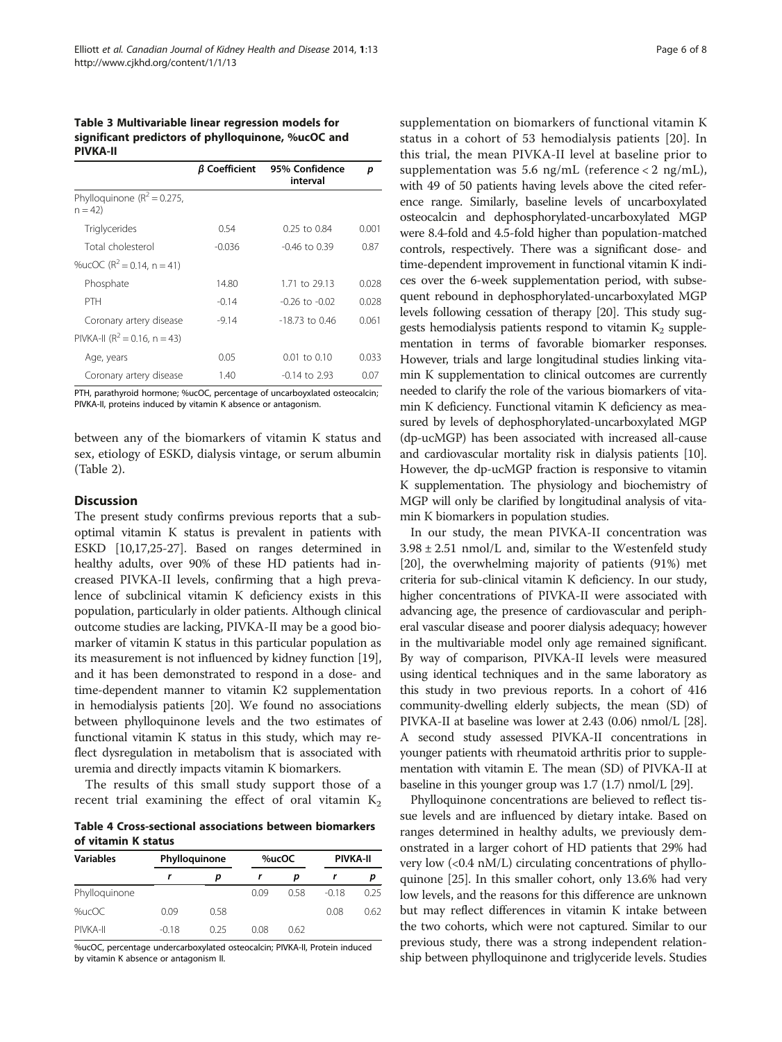#### <span id="page-5-0"></span>Table 3 Multivariable linear regression models for significant predictors of phylloquinone, %ucOC and PIVKA-II

|                                            | $\beta$ Coefficient | 95% Confidence<br>interval | р     |
|--------------------------------------------|---------------------|----------------------------|-------|
| Phylloquinone ( $R^2$ = 0.275,<br>$n = 42$ |                     |                            |       |
| Triglycerides                              | 0.54                | 0.25 to 0.84               | 0.001 |
| Total cholesterol                          | $-0.036$            | $-0.46$ to $0.39$          | 0.87  |
| %ucOC ( $R^2 = 0.14$ , n = 41)             |                     |                            |       |
| Phosphate                                  | 14.80               | 1.71 to 29.13              | 0.028 |
| PTH                                        | $-0.14$             | $-0.26$ to $-0.02$         | 0.028 |
| Coronary artery disease                    | $-9.14$             | $-18.73$ to 0.46           | 0.061 |
| PIVKA-II ( $R^2$ = 0.16, n = 43)           |                     |                            |       |
| Age, years                                 | 0.05                | $0.01$ to $0.10$           | 0.033 |
| Coronary artery disease                    | 1.40                | $-0.14$ to 2.93            | 0.07  |

PTH, parathyroid hormone; %ucOC, percentage of uncarboyxlated osteocalcin; PIVKA-II, proteins induced by vitamin K absence or antagonism.

between any of the biomarkers of vitamin K status and sex, etiology of ESKD, dialysis vintage, or serum albumin (Table [2\)](#page-4-0).

#### **Discussion**

The present study confirms previous reports that a suboptimal vitamin K status is prevalent in patients with ESKD [[10](#page-7-0),[17,25-27\]](#page-7-0). Based on ranges determined in healthy adults, over 90% of these HD patients had increased PIVKA-II levels, confirming that a high prevalence of subclinical vitamin K deficiency exists in this population, particularly in older patients. Although clinical outcome studies are lacking, PIVKA-II may be a good biomarker of vitamin K status in this particular population as its measurement is not influenced by kidney function [[19](#page-7-0)], and it has been demonstrated to respond in a dose- and time-dependent manner to vitamin K2 supplementation in hemodialysis patients [\[20\]](#page-7-0). We found no associations between phylloquinone levels and the two estimates of functional vitamin K status in this study, which may reflect dysregulation in metabolism that is associated with uremia and directly impacts vitamin K biomarkers.

The results of this small study support those of a recent trial examining the effect of oral vitamin  $K_2$ 

Table 4 Cross-sectional associations between biomarkers of vitamin K status

| <b>Variables</b> | Phylloquinone |      | %ucOC |      | <b>PIVKA-II</b> |      |
|------------------|---------------|------|-------|------|-----------------|------|
|                  |               | p    |       | р    |                 |      |
| Phylloquinone    |               |      | 0.09  | 0.58 | $-0.18$         | 0.25 |
| %ucOC            | 0.09          | 0.58 |       |      | 0.08            | 0.62 |
| PIVKA-II         | $-0.18$       | 0.25 | 0.08  | 0.62 |                 |      |

%ucOC, percentage undercarboxylated osteocalcin; PIVKA-II, Protein induced by vitamin K absence or antagonism II.

supplementation on biomarkers of functional vitamin K status in a cohort of 53 hemodialysis patients [\[20](#page-7-0)]. In this trial, the mean PIVKA-II level at baseline prior to supplementation was 5.6 ng/mL (reference  $<$  2 ng/mL), with 49 of 50 patients having levels above the cited reference range. Similarly, baseline levels of uncarboxylated osteocalcin and dephosphorylated-uncarboxylated MGP were 8.4-fold and 4.5-fold higher than population-matched controls, respectively. There was a significant dose- and time-dependent improvement in functional vitamin K indices over the 6-week supplementation period, with subsequent rebound in dephosphorylated-uncarboxylated MGP levels following cessation of therapy [\[20\]](#page-7-0). This study suggests hemodialysis patients respond to vitamin  $K_2$  supplementation in terms of favorable biomarker responses. However, trials and large longitudinal studies linking vitamin K supplementation to clinical outcomes are currently needed to clarify the role of the various biomarkers of vitamin K deficiency. Functional vitamin K deficiency as measured by levels of dephosphorylated-uncarboxylated MGP (dp-ucMGP) has been associated with increased all-cause and cardiovascular mortality risk in dialysis patients [\[10](#page-7-0)]. However, the dp-ucMGP fraction is responsive to vitamin K supplementation. The physiology and biochemistry of MGP will only be clarified by longitudinal analysis of vitamin K biomarkers in population studies.

In our study, the mean PIVKA-II concentration was  $3.98 \pm 2.51$  nmol/L and, similar to the Westenfeld study [[20\]](#page-7-0), the overwhelming majority of patients (91%) met criteria for sub-clinical vitamin K deficiency. In our study, higher concentrations of PIVKA-II were associated with advancing age, the presence of cardiovascular and peripheral vascular disease and poorer dialysis adequacy; however in the multivariable model only age remained significant. By way of comparison, PIVKA-II levels were measured using identical techniques and in the same laboratory as this study in two previous reports. In a cohort of 416 community-dwelling elderly subjects, the mean (SD) of PIVKA-II at baseline was lower at 2.43 (0.06) nmol/L [\[28](#page-7-0)]. A second study assessed PIVKA-II concentrations in younger patients with rheumatoid arthritis prior to supplementation with vitamin E. The mean (SD) of PIVKA-II at baseline in this younger group was 1.7 (1.7) nmol/L [\[29](#page-7-0)].

Phylloquinone concentrations are believed to reflect tissue levels and are influenced by dietary intake. Based on ranges determined in healthy adults, we previously demonstrated in a larger cohort of HD patients that 29% had very low (<0.4 nM/L) circulating concentrations of phylloquinone [\[25\]](#page-7-0). In this smaller cohort, only 13.6% had very low levels, and the reasons for this difference are unknown but may reflect differences in vitamin K intake between the two cohorts, which were not captured. Similar to our previous study, there was a strong independent relationship between phylloquinone and triglyceride levels. Studies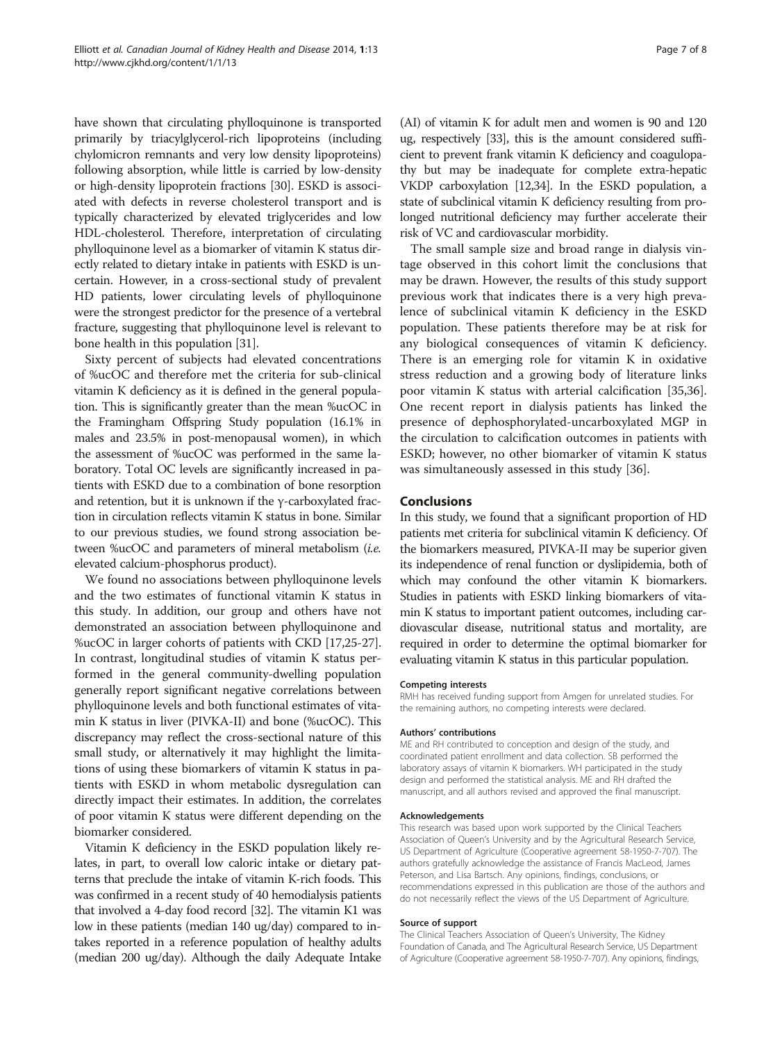have shown that circulating phylloquinone is transported primarily by triacylglycerol-rich lipoproteins (including chylomicron remnants and very low density lipoproteins) following absorption, while little is carried by low-density or high-density lipoprotein fractions [\[30\]](#page-7-0). ESKD is associated with defects in reverse cholesterol transport and is typically characterized by elevated triglycerides and low HDL-cholesterol. Therefore, interpretation of circulating phylloquinone level as a biomarker of vitamin K status directly related to dietary intake in patients with ESKD is uncertain. However, in a cross-sectional study of prevalent HD patients, lower circulating levels of phylloquinone were the strongest predictor for the presence of a vertebral fracture, suggesting that phylloquinone level is relevant to bone health in this population [\[31](#page-7-0)].

Sixty percent of subjects had elevated concentrations of %ucOC and therefore met the criteria for sub-clinical vitamin K deficiency as it is defined in the general population. This is significantly greater than the mean %ucOC in the Framingham Offspring Study population (16.1% in males and 23.5% in post-menopausal women), in which the assessment of %ucOC was performed in the same laboratory. Total OC levels are significantly increased in patients with ESKD due to a combination of bone resorption and retention, but it is unknown if the γ-carboxylated fraction in circulation reflects vitamin K status in bone. Similar to our previous studies, we found strong association between %ucOC and parameters of mineral metabolism (i.e. elevated calcium-phosphorus product).

We found no associations between phylloquinone levels and the two estimates of functional vitamin K status in this study. In addition, our group and others have not demonstrated an association between phylloquinone and %ucOC in larger cohorts of patients with CKD [[17,25](#page-7-0)-[27](#page-7-0)]. In contrast, longitudinal studies of vitamin K status performed in the general community-dwelling population generally report significant negative correlations between phylloquinone levels and both functional estimates of vitamin K status in liver (PIVKA-II) and bone (%ucOC). This discrepancy may reflect the cross-sectional nature of this small study, or alternatively it may highlight the limitations of using these biomarkers of vitamin K status in patients with ESKD in whom metabolic dysregulation can directly impact their estimates. In addition, the correlates of poor vitamin K status were different depending on the biomarker considered.

Vitamin K deficiency in the ESKD population likely relates, in part, to overall low caloric intake or dietary patterns that preclude the intake of vitamin K-rich foods. This was confirmed in a recent study of 40 hemodialysis patients that involved a 4-day food record [[32](#page-7-0)]. The vitamin K1 was low in these patients (median 140 ug/day) compared to intakes reported in a reference population of healthy adults (median 200 ug/day). Although the daily Adequate Intake (AI) of vitamin K for adult men and women is 90 and 120 ug, respectively [\[33\]](#page-7-0), this is the amount considered sufficient to prevent frank vitamin K deficiency and coagulopathy but may be inadequate for complete extra-hepatic VKDP carboxylation [\[12,34](#page-7-0)]. In the ESKD population, a state of subclinical vitamin K deficiency resulting from prolonged nutritional deficiency may further accelerate their risk of VC and cardiovascular morbidity.

The small sample size and broad range in dialysis vintage observed in this cohort limit the conclusions that may be drawn. However, the results of this study support previous work that indicates there is a very high prevalence of subclinical vitamin K deficiency in the ESKD population. These patients therefore may be at risk for any biological consequences of vitamin K deficiency. There is an emerging role for vitamin K in oxidative stress reduction and a growing body of literature links poor vitamin K status with arterial calcification [\[35,36](#page-7-0)]. One recent report in dialysis patients has linked the presence of dephosphorylated-uncarboxylated MGP in the circulation to calcification outcomes in patients with ESKD; however, no other biomarker of vitamin K status was simultaneously assessed in this study [[36\]](#page-7-0).

#### Conclusions

In this study, we found that a significant proportion of HD patients met criteria for subclinical vitamin K deficiency. Of the biomarkers measured, PIVKA-II may be superior given its independence of renal function or dyslipidemia, both of which may confound the other vitamin K biomarkers. Studies in patients with ESKD linking biomarkers of vitamin K status to important patient outcomes, including cardiovascular disease, nutritional status and mortality, are required in order to determine the optimal biomarker for evaluating vitamin K status in this particular population.

#### Competing interests

RMH has received funding support from Amgen for unrelated studies. For the remaining authors, no competing interests were declared.

#### Authors' contributions

ME and RH contributed to conception and design of the study, and coordinated patient enrollment and data collection. SB performed the laboratory assays of vitamin K biomarkers. WH participated in the study design and performed the statistical analysis. ME and RH drafted the manuscript, and all authors revised and approved the final manuscript.

#### Acknowledgements

This research was based upon work supported by the Clinical Teachers Association of Queen's University and by the Agricultural Research Service, US Department of Agriculture (Cooperative agreement 58-1950-7-707). The authors gratefully acknowledge the assistance of Francis MacLeod, James Peterson, and Lisa Bartsch. Any opinions, findings, conclusions, or recommendations expressed in this publication are those of the authors and do not necessarily reflect the views of the US Department of Agriculture.

#### Source of support

The Clinical Teachers Association of Queen's University, The Kidney Foundation of Canada, and The Agricultural Research Service, US Department of Agriculture (Cooperative agreement 58-1950-7-707). Any opinions, findings,